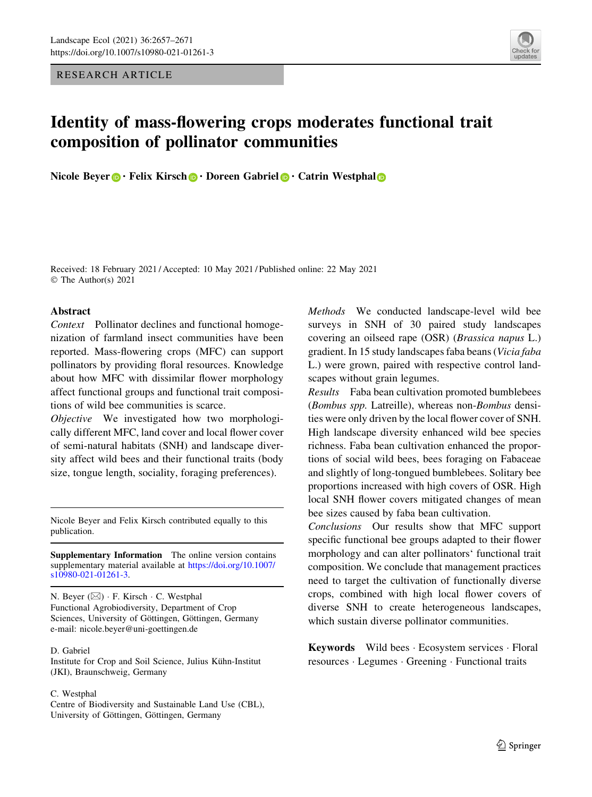RESEARCH ARTICLE



# Identity of mass-flowering crops moderates functional trait composition of pollinator communities

Nicole Beyer  $\mathbf{D} \cdot$  Felix Kirsch  $\mathbf{D} \cdot$  Doreen Gabriel  $\mathbf{D} \cdot$  Catrin Westphal  $\mathbf{D}$ 

Received: 18 February 2021 / Accepted: 10 May 2021 / Published online: 22 May 2021 © The Author(s) 2021

## Abstract

Context Pollinator declines and functional homogenization of farmland insect communities have been reported. Mass-flowering crops (MFC) can support pollinators by providing floral resources. Knowledge about how MFC with dissimilar flower morphology affect functional groups and functional trait compositions of wild bee communities is scarce.

Objective We investigated how two morphologically different MFC, land cover and local flower cover of semi-natural habitats (SNH) and landscape diversity affect wild bees and their functional traits (body size, tongue length, sociality, foraging preferences).

Nicole Beyer and Felix Kirsch contributed equally to this publication.

Supplementary Information The online version contains supplementary material available at [https://doi.org/10.1007/](https://doi.org/10.1007/s10980-021-01261-3) [s10980-021-01261-3](https://doi.org/10.1007/s10980-021-01261-3).

N. Beyer (&) - F. Kirsch - C. Westphal Functional Agrobiodiversity, Department of Crop Sciences, University of Göttingen, Göttingen, Germany e-mail: nicole.beyer@uni-goettingen.de

#### D. Gabriel

Institute for Crop and Soil Science, Julius Kühn-Institut (JKI), Braunschweig, Germany

#### C. Westphal

Centre of Biodiversity and Sustainable Land Use (CBL), University of Göttingen, Göttingen, Germany

Methods We conducted landscape-level wild bee surveys in SNH of 30 paired study landscapes covering an oilseed rape (OSR) (Brassica napus L.) gradient. In 15 study landscapes faba beans (Vicia faba L.) were grown, paired with respective control landscapes without grain legumes.

Results Faba bean cultivation promoted bumblebees (Bombus spp. Latreille), whereas non-Bombus densities were only driven by the local flower cover of SNH. High landscape diversity enhanced wild bee species richness. Faba bean cultivation enhanced the proportions of social wild bees, bees foraging on Fabaceae and slightly of long-tongued bumblebees. Solitary bee proportions increased with high covers of OSR. High local SNH flower covers mitigated changes of mean bee sizes caused by faba bean cultivation.

Conclusions Our results show that MFC support specific functional bee groups adapted to their flower morphology and can alter pollinators' functional trait composition. We conclude that management practices need to target the cultivation of functionally diverse crops, combined with high local flower covers of diverse SNH to create heterogeneous landscapes, which sustain diverse pollinator communities.

Keywords Wild bees · Ecosystem services · Floral resources - Legumes - Greening - Functional traits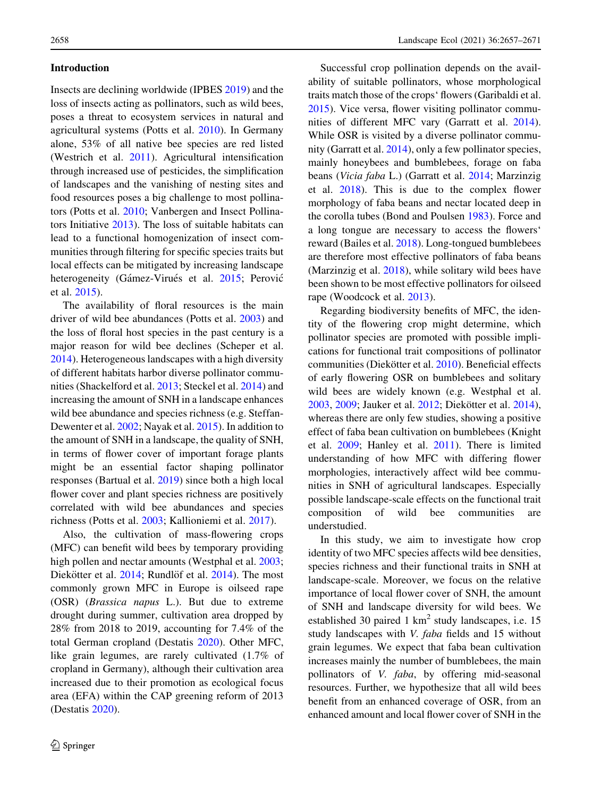# Introduction

Insects are declining worldwide (IPBES [2019\)](#page-13-0) and the loss of insects acting as pollinators, such as wild bees, poses a threat to ecosystem services in natural and agricultural systems (Potts et al. [2010](#page-14-0)). In Germany alone, 53% of all native bee species are red listed (Westrich et al. [2011\)](#page-14-0). Agricultural intensification through increased use of pesticides, the simplification of landscapes and the vanishing of nesting sites and food resources poses a big challenge to most pollinators (Potts et al. [2010;](#page-14-0) Vanbergen and Insect Pollinators Initiative [2013\)](#page-14-0). The loss of suitable habitats can lead to a functional homogenization of insect communities through filtering for specific species traits but local effects can be mitigated by increasing landscape heterogeneity (Gámez-Virués et al. [2015](#page-12-0); Perović et al. [2015](#page-13-0)).

The availability of floral resources is the main driver of wild bee abundances (Potts et al. [2003](#page-14-0)) and the loss of floral host species in the past century is a major reason for wild bee declines (Scheper et al. [2014\)](#page-14-0). Heterogeneous landscapes with a high diversity of different habitats harbor diverse pollinator communities (Shackelford et al. [2013](#page-14-0); Steckel et al. [2014](#page-14-0)) and increasing the amount of SNH in a landscape enhances wild bee abundance and species richness (e.g. Steffan-Dewenter et al. [2002](#page-14-0); Nayak et al. [2015\)](#page-13-0). In addition to the amount of SNH in a landscape, the quality of SNH, in terms of flower cover of important forage plants might be an essential factor shaping pollinator responses (Bartual et al. [2019\)](#page-12-0) since both a high local flower cover and plant species richness are positively correlated with wild bee abundances and species richness (Potts et al. [2003;](#page-14-0) Kallioniemi et al. [2017\)](#page-13-0).

Also, the cultivation of mass-flowering crops (MFC) can benefit wild bees by temporary providing high pollen and nectar amounts (Westphal et al. [2003](#page-14-0); Diekötter et al. [2014;](#page-12-0) Rundlöf et al. [2014](#page-14-0)). The most commonly grown MFC in Europe is oilseed rape (OSR) (Brassica napus L.). But due to extreme drought during summer, cultivation area dropped by 28% from 2018 to 2019, accounting for 7.4% of the total German cropland (Destatis [2020\)](#page-12-0). Other MFC, like grain legumes, are rarely cultivated (1.7% of cropland in Germany), although their cultivation area increased due to their promotion as ecological focus area (EFA) within the CAP greening reform of 2013 (Destatis [2020](#page-12-0)).

Successful crop pollination depends on the availability of suitable pollinators, whose morphological traits match those of the crops' flowers (Garibaldi et al. [2015\)](#page-13-0). Vice versa, flower visiting pollinator communities of different MFC vary (Garratt et al. [2014](#page-13-0)). While OSR is visited by a diverse pollinator community (Garratt et al. [2014](#page-13-0)), only a few pollinator species, mainly honeybees and bumblebees, forage on faba beans (Vicia faba L.) (Garratt et al. [2014](#page-13-0); Marzinzig et al. [2018\)](#page-13-0). This is due to the complex flower morphology of faba beans and nectar located deep in the corolla tubes (Bond and Poulsen [1983](#page-12-0)). Force and a long tongue are necessary to access the flowers' reward (Bailes et al. [2018](#page-12-0)). Long-tongued bumblebees are therefore most effective pollinators of faba beans (Marzinzig et al. [2018](#page-13-0)), while solitary wild bees have been shown to be most effective pollinators for oilseed rape (Woodcock et al. [2013](#page-14-0)).

Regarding biodiversity benefits of MFC, the identity of the flowering crop might determine, which pollinator species are promoted with possible implications for functional trait compositions of pollinator communities (Diekötter et al. [2010](#page-12-0)). Beneficial effects of early flowering OSR on bumblebees and solitary wild bees are widely known (e.g. Westphal et al. [2003,](#page-14-0) [2009;](#page-14-0) Jauker et al. [2012](#page-13-0); Diekötter et al. [2014](#page-12-0)), whereas there are only few studies, showing a positive effect of faba bean cultivation on bumblebees (Knight et al. [2009;](#page-13-0) Hanley et al. [2011\)](#page-13-0). There is limited understanding of how MFC with differing flower morphologies, interactively affect wild bee communities in SNH of agricultural landscapes. Especially possible landscape-scale effects on the functional trait composition of wild bee communities are understudied.

In this study, we aim to investigate how crop identity of two MFC species affects wild bee densities, species richness and their functional traits in SNH at landscape-scale. Moreover, we focus on the relative importance of local flower cover of SNH, the amount of SNH and landscape diversity for wild bees. We established 30 paired 1  $km^2$  study landscapes, i.e. 15 study landscapes with V. faba fields and 15 without grain legumes. We expect that faba bean cultivation increases mainly the number of bumblebees, the main pollinators of V. faba, by offering mid-seasonal resources. Further, we hypothesize that all wild bees benefit from an enhanced coverage of OSR, from an enhanced amount and local flower cover of SNH in the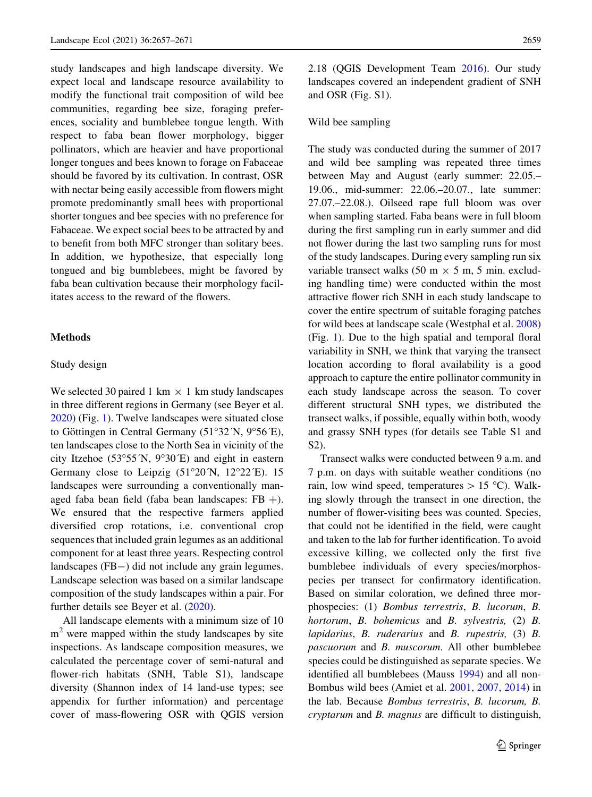study landscapes and high landscape diversity. We expect local and landscape resource availability to modify the functional trait composition of wild bee communities, regarding bee size, foraging preferences, sociality and bumblebee tongue length. With respect to faba bean flower morphology, bigger pollinators, which are heavier and have proportional longer tongues and bees known to forage on Fabaceae should be favored by its cultivation. In contrast, OSR with nectar being easily accessible from flowers might promote predominantly small bees with proportional shorter tongues and bee species with no preference for Fabaceae. We expect social bees to be attracted by and to benefit from both MFC stronger than solitary bees. In addition, we hypothesize, that especially long tongued and big bumblebees, might be favored by faba bean cultivation because their morphology facilitates access to the reward of the flowers.

#### Methods

#### Study design

We selected 30 paired 1 km  $\times$  1 km study landscapes in three different regions in Germany (see Beyer et al. [2020\)](#page-12-0) (Fig. [1](#page-3-0)). Twelve landscapes were situated close to Göttingen in Central Germany (51°32′N, 9°56<sup>′</sup>E), ten landscapes close to the North Sea in vicinity of the city Itzehoe  $(53°55'N, 9°30'E)$  and eight in eastern Germany close to Leipzig  $(51^{\circ}20^{\prime}N, 12^{\circ}22^{\prime}E)$ . 15 landscapes were surrounding a conventionally managed faba bean field (faba bean landscapes:  $FB +$ ). We ensured that the respective farmers applied diversified crop rotations, i.e. conventional crop sequences that included grain legumes as an additional component for at least three years. Respecting control landscapes (FB-) did not include any grain legumes. Landscape selection was based on a similar landscape composition of the study landscapes within a pair. For further details see Beyer et al. [\(2020\)](#page-12-0).

All landscape elements with a minimum size of 10  $m<sup>2</sup>$  were mapped within the study landscapes by site inspections. As landscape composition measures, we calculated the percentage cover of semi-natural and flower-rich habitats (SNH, Table S1), landscape diversity (Shannon index of 14 land-use types; see appendix for further information) and percentage cover of mass-flowering OSR with QGIS version 2.18 (QGIS Development Team [2016\)](#page-14-0). Our study landscapes covered an independent gradient of SNH and OSR (Fig. S1).

#### Wild bee sampling

The study was conducted during the summer of 2017 and wild bee sampling was repeated three times between May and August (early summer: 22.05.– 19.06., mid-summer: 22.06.–20.07., late summer: 27.07.–22.08.). Oilseed rape full bloom was over when sampling started. Faba beans were in full bloom during the first sampling run in early summer and did not flower during the last two sampling runs for most of the study landscapes. During every sampling run six variable transect walks (50 m  $\times$  5 m, 5 min. excluding handling time) were conducted within the most attractive flower rich SNH in each study landscape to cover the entire spectrum of suitable foraging patches for wild bees at landscape scale (Westphal et al. [2008\)](#page-14-0) (Fig. [1\)](#page-3-0). Due to the high spatial and temporal floral variability in SNH, we think that varying the transect location according to floral availability is a good approach to capture the entire pollinator community in each study landscape across the season. To cover different structural SNH types, we distributed the transect walks, if possible, equally within both, woody and grassy SNH types (for details see Table S1 and S2).

Transect walks were conducted between 9 a.m. and 7 p.m. on days with suitable weather conditions (no rain, low wind speed, temperatures  $> 15$  °C). Walking slowly through the transect in one direction, the number of flower-visiting bees was counted. Species, that could not be identified in the field, were caught and taken to the lab for further identification. To avoid excessive killing, we collected only the first five bumblebee individuals of every species/morphospecies per transect for confirmatory identification. Based on similar coloration, we defined three morphospecies: (1) Bombus terrestris, B. lucorum, B. hortorum, B. bohemicus and B. sylvestris, (2) B. lapidarius, B. ruderarius and B. rupestris,  $(3)$  B. pascuorum and B. muscorum. All other bumblebee species could be distinguished as separate species. We identified all bumblebees (Mauss [1994\)](#page-13-0) and all non-Bombus wild bees (Amiet et al. [2001,](#page-12-0) [2007](#page-12-0), [2014](#page-12-0)) in the lab. Because Bombus terrestris, B. lucorum, B. cryptarum and B. magnus are difficult to distinguish,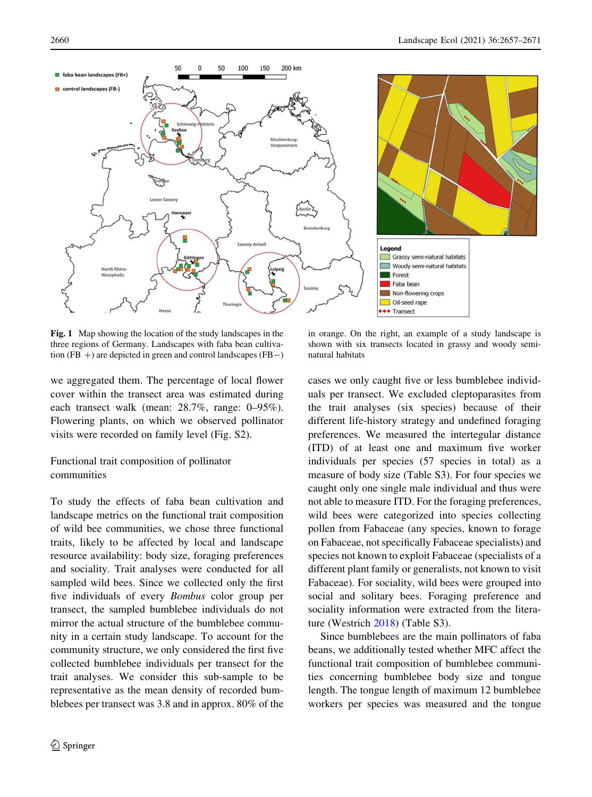<span id="page-3-0"></span>

Fig. 1 Map showing the location of the study landscapes in the three regions of Germany. Landscapes with faba bean cultivation (FB  $+$ ) are depicted in green and control landscapes (FB $-$ )

we aggregated them. The percentage of local flower cover within the transect area was estimated during each transect walk (mean: 28.7%, range: 0–95%). Flowering plants, on which we observed pollinator visits were recorded on family level (Fig. S2).

# Functional trait composition of pollinator communities

To study the effects of faba bean cultivation and landscape metrics on the functional trait composition of wild bee communities, we chose three functional traits, likely to be affected by local and landscape resource availability: body size, foraging preferences and sociality. Trait analyses were conducted for all sampled wild bees. Since we collected only the first five individuals of every Bombus color group per transect, the sampled bumblebee individuals do not mirror the actual structure of the bumblebee community in a certain study landscape. To account for the community structure, we only considered the first five collected bumblebee individuals per transect for the trait analyses. We consider this sub-sample to be representative as the mean density of recorded bumblebees per transect was 3.8 and in approx. 80% of the

in orange. On the right, an example of a study landscape is shown with six transects located in grassy and woody seminatural habitats

cases we only caught five or less bumblebee individuals per transect. We excluded cleptoparasites from the trait analyses (six species) because of their different life-history strategy and undefined foraging preferences. We measured the intertegular distance (ITD) of at least one and maximum five worker individuals per species (57 species in total) as a measure of body size (Table S3). For four species we caught only one single male individual and thus were not able to measure ITD. For the foraging preferences, wild bees were categorized into species collecting pollen from Fabaceae (any species, known to forage on Fabaceae, not specifically Fabaceae specialists) and species not known to exploit Fabaceae (specialists of a different plant family or generalists, not known to visit Fabaceae). For sociality, wild bees were grouped into social and solitary bees. Foraging preference and sociality information were extracted from the literature (Westrich [2018\)](#page-14-0) (Table S3).

Since bumblebees are the main pollinators of faba beans, we additionally tested whether MFC affect the functional trait composition of bumblebee communities concerning bumblebee body size and tongue length. The tongue length of maximum 12 bumblebee workers per species was measured and the tongue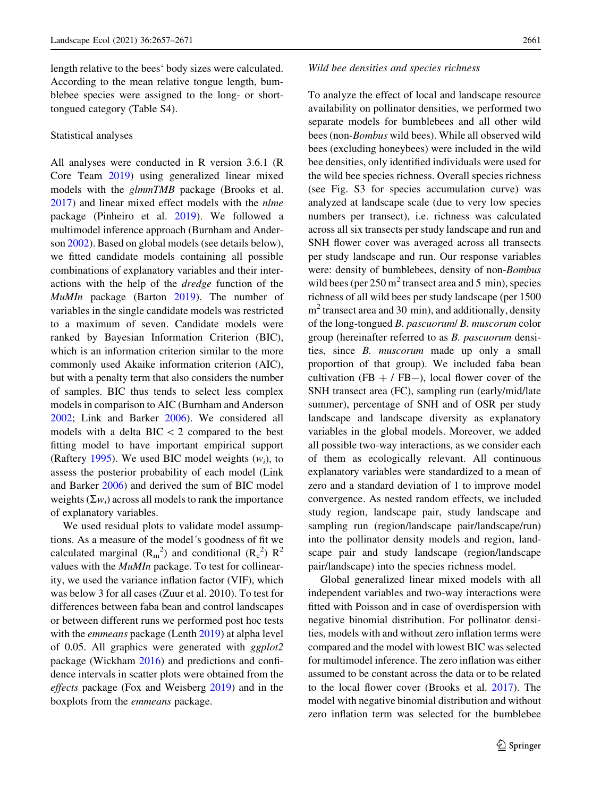length relative to the bees' body sizes were calculated. According to the mean relative tongue length, bumblebee species were assigned to the long- or shorttongued category (Table S4).

#### Statistical analyses

All analyses were conducted in R version 3.6.1 (R Core Team [2019](#page-14-0)) using generalized linear mixed models with the glmmTMB package (Brooks et al. [2017\)](#page-12-0) and linear mixed effect models with the nlme package (Pinheiro et al. [2019\)](#page-14-0). We followed a multimodel inference approach (Burnham and Anderson [2002](#page-12-0)). Based on global models (see details below), we fitted candidate models containing all possible combinations of explanatory variables and their interactions with the help of the dredge function of the MuMIn package (Barton [2019](#page-12-0)). The number of variables in the single candidate models was restricted to a maximum of seven. Candidate models were ranked by Bayesian Information Criterion (BIC), which is an information criterion similar to the more commonly used Akaike information criterion (AIC), but with a penalty term that also considers the number of samples. BIC thus tends to select less complex models in comparison to AIC (Burnham and Anderson [2002;](#page-12-0) Link and Barker [2006](#page-13-0)). We considered all models with a delta  $BIC < 2$  compared to the best fitting model to have important empirical support (Raftery [1995](#page-14-0)). We used BIC model weights  $(w_i)$ , to assess the posterior probability of each model (Link and Barker [2006](#page-13-0)) and derived the sum of BIC model weights  $(\Sigma w_i)$  across all models to rank the importance of explanatory variables.

We used residual plots to validate model assumptions. As a measure of the model's goodness of fit we calculated marginal  $(R_m^2)$  and conditional  $(R_c^2)$   $R^2$ values with the MuMIn package. To test for collinearity, we used the variance inflation factor (VIF), which was below 3 for all cases (Zuur et al. 2010). To test for differences between faba bean and control landscapes or between different runs we performed post hoc tests with the *emmeans* package (Lenth [2019\)](#page-13-0) at alpha level of 0.05. All graphics were generated with ggplot2 package (Wickham [2016\)](#page-14-0) and predictions and confidence intervals in scatter plots were obtained from the effects package (Fox and Weisberg [2019](#page-12-0)) and in the boxplots from the emmeans package.

#### Wild bee densities and species richness

To analyze the effect of local and landscape resource availability on pollinator densities, we performed two separate models for bumblebees and all other wild bees (non-Bombus wild bees). While all observed wild bees (excluding honeybees) were included in the wild bee densities, only identified individuals were used for the wild bee species richness. Overall species richness (see Fig. S3 for species accumulation curve) was analyzed at landscape scale (due to very low species numbers per transect), i.e. richness was calculated across all six transects per study landscape and run and SNH flower cover was averaged across all transects per study landscape and run. Our response variables were: density of bumblebees, density of non-Bombus wild bees (per  $250 \text{ m}^2$  transect area and 5 min), species richness of all wild bees per study landscape (per 1500  $m<sup>2</sup>$  transect area and 30 min), and additionally, density of the long-tongued B. pascuorum/ B. muscorum color group (hereinafter referred to as B. pascuorum densities, since B. muscorum made up only a small proportion of that group). We included faba bean cultivation (FB  $+$  / FB-), local flower cover of the SNH transect area (FC), sampling run (early/mid/late summer), percentage of SNH and of OSR per study landscape and landscape diversity as explanatory variables in the global models. Moreover, we added all possible two-way interactions, as we consider each of them as ecologically relevant. All continuous explanatory variables were standardized to a mean of zero and a standard deviation of 1 to improve model convergence. As nested random effects, we included study region, landscape pair, study landscape and sampling run (region/landscape pair/landscape/run) into the pollinator density models and region, landscape pair and study landscape (region/landscape pair/landscape) into the species richness model.

Global generalized linear mixed models with all independent variables and two-way interactions were fitted with Poisson and in case of overdispersion with negative binomial distribution. For pollinator densities, models with and without zero inflation terms were compared and the model with lowest BIC was selected for multimodel inference. The zero inflation was either assumed to be constant across the data or to be related to the local flower cover (Brooks et al. [2017\)](#page-12-0). The model with negative binomial distribution and without zero inflation term was selected for the bumblebee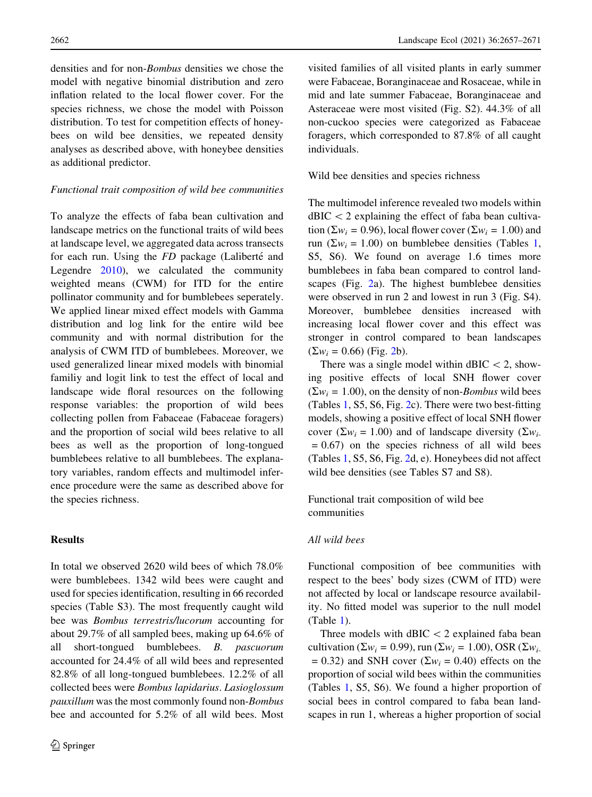densities and for non-Bombus densities we chose the model with negative binomial distribution and zero inflation related to the local flower cover. For the species richness, we chose the model with Poisson distribution. To test for competition effects of honeybees on wild bee densities, we repeated density analyses as described above, with honeybee densities as additional predictor.

#### Functional trait composition of wild bee communities

To analyze the effects of faba bean cultivation and landscape metrics on the functional traits of wild bees at landscape level, we aggregated data across transects for each run. Using the FD package (Laliberté and Legendre [2010\)](#page-13-0), we calculated the community weighted means (CWM) for ITD for the entire pollinator community and for bumblebees seperately. We applied linear mixed effect models with Gamma distribution and log link for the entire wild bee community and with normal distribution for the analysis of CWM ITD of bumblebees. Moreover, we used generalized linear mixed models with binomial familiy and logit link to test the effect of local and landscape wide floral resources on the following response variables: the proportion of wild bees collecting pollen from Fabaceae (Fabaceae foragers) and the proportion of social wild bees relative to all bees as well as the proportion of long-tongued bumblebees relative to all bumblebees. The explanatory variables, random effects and multimodel inference procedure were the same as described above for the species richness.

# **Results**

In total we observed 2620 wild bees of which 78.0% were bumblebees. 1342 wild bees were caught and used for species identification, resulting in 66 recorded species (Table S3). The most frequently caught wild bee was Bombus terrestris/lucorum accounting for about 29.7% of all sampled bees, making up 64.6% of all short-tongued bumblebees. B. pascuorum accounted for 24.4% of all wild bees and represented 82.8% of all long-tongued bumblebees. 12.2% of all collected bees were Bombus lapidarius. Lasioglossum pauxillum was the most commonly found non-Bombus bee and accounted for 5.2% of all wild bees. Most

visited families of all visited plants in early summer were Fabaceae, Boranginaceae and Rosaceae, while in mid and late summer Fabaceae, Boranginaceae and Asteraceae were most visited (Fig. S2). 44.3% of all non-cuckoo species were categorized as Fabaceae foragers, which corresponded to 87.8% of all caught individuals.

#### Wild bee densities and species richness

The multimodel inference revealed two models within  $dBIC < 2$  explaining the effect of faba bean cultivation ( $\Sigma w_i = 0.96$ ), local flower cover ( $\Sigma w_i = 1.00$ ) and run ( $\Sigma w_i = 1.00$ ) on bumblebee densities (Tables [1,](#page-6-0) S5, S6). We found on average 1.6 times more bumblebees in faba bean compared to control landscapes (Fig. [2a](#page-7-0)). The highest bumblebee densities were observed in run 2 and lowest in run 3 (Fig. S4). Moreover, bumblebee densities increased with increasing local flower cover and this effect was stronger in control compared to bean landscapes  $(\Sigma w_i = 0.66)$  (Fig. [2](#page-7-0)b).

There was a single model within  $dBIC < 2$ , showing positive effects of local SNH flower cover  $(\Sigma w_i = 1.00)$ , on the density of non-*Bombus* wild bees (Tables [1](#page-6-0), S5, S6, Fig. [2](#page-7-0)c). There were two best-fitting models, showing a positive effect of local SNH flower cover ( $\Sigma w_i = 1.00$ ) and of landscape diversity ( $\Sigma w_i$ - $= 0.67$ ) on the species richness of all wild bees (Tables [1,](#page-6-0) S5, S6, Fig. [2](#page-7-0)d, e). Honeybees did not affect wild bee densities (see Tables S7 and S8).

Functional trait composition of wild bee communities

## All wild bees

Functional composition of bee communities with respect to the bees' body sizes (CWM of ITD) were not affected by local or landscape resource availability. No fitted model was superior to the null model (Table [1\)](#page-6-0).

Three models with  $dBIC < 2$  explained faba bean cultivation ( $\Sigma w_i = 0.99$ ), run ( $\Sigma w_i = 1.00$ ), OSR ( $\Sigma w_i$ .  $= 0.32$ ) and SNH cover ( $\Sigma w_i = 0.40$ ) effects on the proportion of social wild bees within the communities (Tables [1](#page-6-0), S5, S6). We found a higher proportion of social bees in control compared to faba bean landscapes in run 1, whereas a higher proportion of social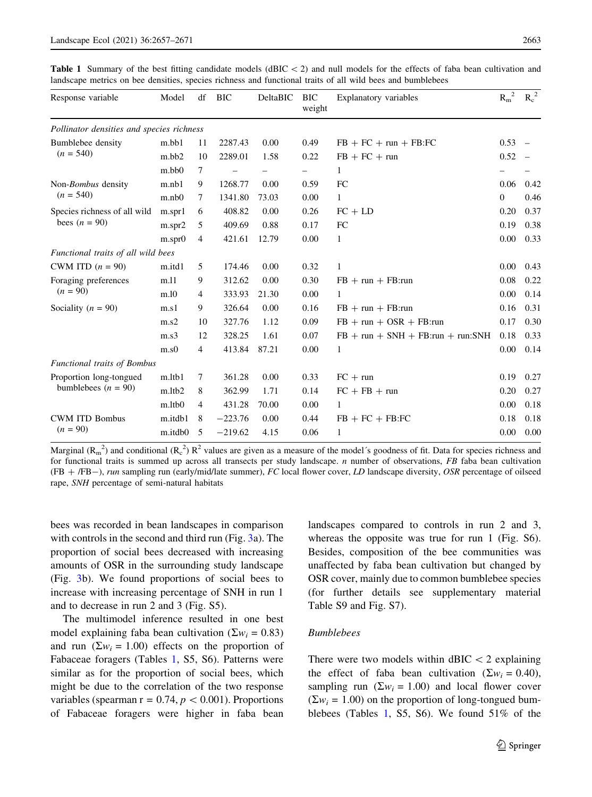bees was recorded in bean landscapes in comparison with controls in the second and third run (Fig. [3](#page-8-0)a). The proportion of social bees decreased with increasing amounts of OSR in the surrounding study landscape (Fig. [3b](#page-8-0)). We found proportions of social bees to increase with increasing percentage of SNH in run 1 and to decrease in run 2 and 3 (Fig. S5).

The multimodel inference resulted in one best model explaining faba bean cultivation ( $\Sigma w_i = 0.83$ ) and run ( $\Sigma w_i = 1.00$ ) effects on the proportion of Fabaceae foragers (Tables 1, S5, S6). Patterns were similar as for the proportion of social bees, which might be due to the correlation of the two response variables (spearman  $r = 0.74$ ,  $p < 0.001$ ). Proportions of Fabaceae foragers were higher in faba bean landscapes compared to controls in run 2 and 3, whereas the opposite was true for run 1 (Fig. S6). Besides, composition of the bee communities was unaffected by faba bean cultivation but changed by OSR cover, mainly due to common bumblebee species (for further details see supplementary material Table S9 and Fig. S7).

# Bumblebees

There were two models within  $dBIC < 2$  explaining the effect of faba bean cultivation ( $\Sigma w_i = 0.40$ ), sampling run ( $\Sigma w_i = 1.00$ ) and local flower cover  $(\Sigma w_i = 1.00)$  on the proportion of long-tongued bumblebees (Tables 1, S5, S6). We found 51% of the

<span id="page-6-0"></span>**Table 1** Summary of the best fitting candidate models ( $dBIC<sub>2</sub>$ ) and null models for the effects of faba bean cultivation and landscape metrics on bee densities, species richness and functional traits of all wild bees and bumblebees

| Response variable                                | Model   | df             | <b>BIC</b> | DeltaBIC | <b>BIC</b><br>weight | Explanatory variables                 | $R_m^2$        | $R_c^2$ |
|--------------------------------------------------|---------|----------------|------------|----------|----------------------|---------------------------------------|----------------|---------|
| Pollinator densities and species richness        |         |                |            |          |                      |                                       |                |         |
| Bumblebee density<br>$(n = 540)$                 | m.bb1   | 11             | 2287.43    | 0.00     | 0.49                 | $FB + FC + run + FB:FC$               | 0.53           |         |
|                                                  | m.bb2   | 10             | 2289.01    | 1.58     | 0.22                 | $FB + FC + run$                       | 0.52           |         |
|                                                  | m.bb0   | 7              |            |          |                      | 1                                     |                |         |
| Non-Bombus density<br>$(n = 540)$                | m.nb1   | 9              | 1268.77    | 0.00     | 0.59                 | FC                                    | 0.06           | 0.42    |
|                                                  | m.nb    | 7              | 1341.80    | 73.03    | 0.00                 | $\mathbf{1}$                          | $\overline{0}$ | 0.46    |
| Species richness of all wild<br>bees $(n = 90)$  | m.spr1  | 6              | 408.82     | 0.00     | 0.26                 | $FC + LD$                             | 0.20           | 0.37    |
|                                                  | m.spr2  | 5              | 409.69     | 0.88     | 0.17                 | FC                                    | 0.19           | 0.38    |
|                                                  | m.spr0  | 4              | 421.61     | 12.79    | 0.00                 | 1                                     | 0.00           | 0.33    |
| Functional traits of all wild bees               |         |                |            |          |                      |                                       |                |         |
| CWM ITD $(n = 90)$                               | m.itd1  | 5              | 174.46     | 0.00     | 0.32                 | 1                                     | 0.00           | 0.43    |
| Foraging preferences<br>$(n = 90)$               | m.11    | 9              | 312.62     | 0.00     | 0.30                 | $FB + run + FB:run$                   | 0.08           | 0.22    |
|                                                  | m.10    | 4              | 333.93     | 21.30    | 0.00                 | 1                                     | 0.00           | 0.14    |
| Sociality ( $n = 90$ )                           | m.s1    | 9              | 326.64     | 0.00     | 0.16                 | $FB + run + FB: run$                  | 0.16           | 0.31    |
|                                                  | m.s2    | 10             | 327.76     | 1.12     | 0.09                 | $FB + run + OSR + FB: run$            | 0.17           | 0.30    |
|                                                  | m.s3    | 12             | 328.25     | 1.61     | 0.07                 | $FB + run + SNH + FB: run + run: SNH$ | 0.18           | 0.33    |
|                                                  | m.s0    | $\overline{4}$ | 413.84     | 87.21    | 0.00                 | 1                                     | 0.00           | 0.14    |
| Functional traits of Bombus                      |         |                |            |          |                      |                                       |                |         |
| Proportion long-tongued<br>bumblebees $(n = 90)$ | m.ltb1  | 7              | 361.28     | 0.00     | 0.33                 | $FC + run$                            | 0.19           | 0.27    |
|                                                  | m.ltb2  | 8              | 362.99     | 1.71     | 0.14                 | $FC + FB + run$                       | 0.20           | 0.27    |
|                                                  | m.ltb0  | $\overline{4}$ | 431.28     | 70.00    | 0.00                 | 1                                     | 0.00           | 0.18    |
| <b>CWM ITD Bombus</b><br>$(n = 90)$              | m.itdb1 | 8              | $-223.76$  | 0.00     | 0.44                 | $FB + FC + FB:FC$                     | 0.18           | 0.18    |
|                                                  | m.itdb0 | 5              | $-219.62$  | 4.15     | 0.06                 | 1                                     | 0.00           | 0.00    |

Marginal ( $R_m^2$ ) and conditional ( $R_c^2$ )  $R^2$  values are given as a measure of the model's goodness of fit. Data for species richness and for functional traits is summed up across all transects per study landscape.  $n$  number of observations,  $FB$  faba bean cultivation  $(FB + /FB-)$ , run sampling run (early/mid/late summer), FC local flower cover, LD landscape diversity, OSR percentage of oilseed rape, SNH percentage of semi-natural habitats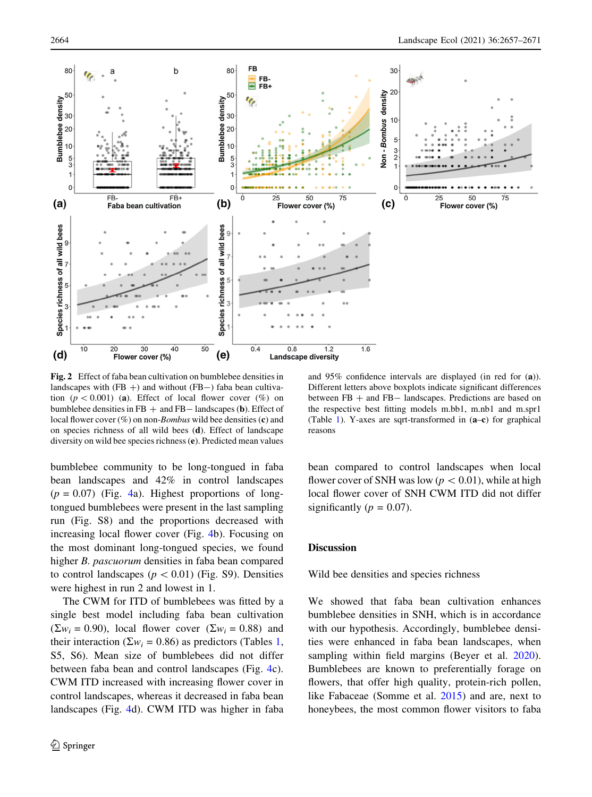<span id="page-7-0"></span>

Fig. 2 Effect of faba bean cultivation on bumblebee densities in landscapes with  $(FB + )$  and without  $(FB - )$  faba bean cultivation ( $p < 0.001$ ) (a). Effect of local flower cover (%) on bumblebee densities in  $FB +$  and  $FB -$  landscapes (b). Effect of local flower cover  $(\%)$  on non-Bombus wild bee densities (c) and on species richness of all wild bees (d). Effect of landscape diversity on wild bee species richness (e). Predicted mean values

bumblebee community to be long-tongued in faba bean landscapes and 42% in control landscapes  $(p = 0.07)$  (Fig. [4](#page-9-0)a). Highest proportions of longtongued bumblebees were present in the last sampling run (Fig. S8) and the proportions decreased with increasing local flower cover (Fig. [4b](#page-9-0)). Focusing on the most dominant long-tongued species, we found higher B. pascuorum densities in faba bean compared to control landscapes ( $p < 0.01$ ) (Fig. S9). Densities were highest in run 2 and lowest in 1.

The CWM for ITD of bumblebees was fitted by a single best model including faba bean cultivation  $(\Sigma w_i = 0.90)$ , local flower cover  $(\Sigma w_i = 0.88)$  and their interaction ( $\Sigma w_i = 0.86$ ) as predictors (Tables [1,](#page-6-0) S5, S6). Mean size of bumblebees did not differ between faba bean and control landscapes (Fig. [4c](#page-9-0)). CWM ITD increased with increasing flower cover in control landscapes, whereas it decreased in faba bean landscapes (Fig. [4d](#page-9-0)). CWM ITD was higher in faba

and 95% confidence intervals are displayed (in red for (a)). Different letters above boxplots indicate significant differences between  $FB +$  and  $FB-$  landscapes. Predictions are based on the respective best fitting models m.bb1, m.nb1 and m.spr1 (Table [1\)](#page-6-0). Y-axes are sqrt-transformed in (a–c) for graphical reasons

bean compared to control landscapes when local flower cover of SNH was low ( $p < 0.01$ ), while at high local flower cover of SNH CWM ITD did not differ significantly ( $p = 0.07$ ).

## **Discussion**

Wild bee densities and species richness

We showed that faba bean cultivation enhances bumblebee densities in SNH, which is in accordance with our hypothesis. Accordingly, bumblebee densities were enhanced in faba bean landscapes, when sampling within field margins (Beyer et al. [2020](#page-12-0)). Bumblebees are known to preferentially forage on flowers, that offer high quality, protein-rich pollen, like Fabaceae (Somme et al. [2015](#page-14-0)) and are, next to honeybees, the most common flower visitors to faba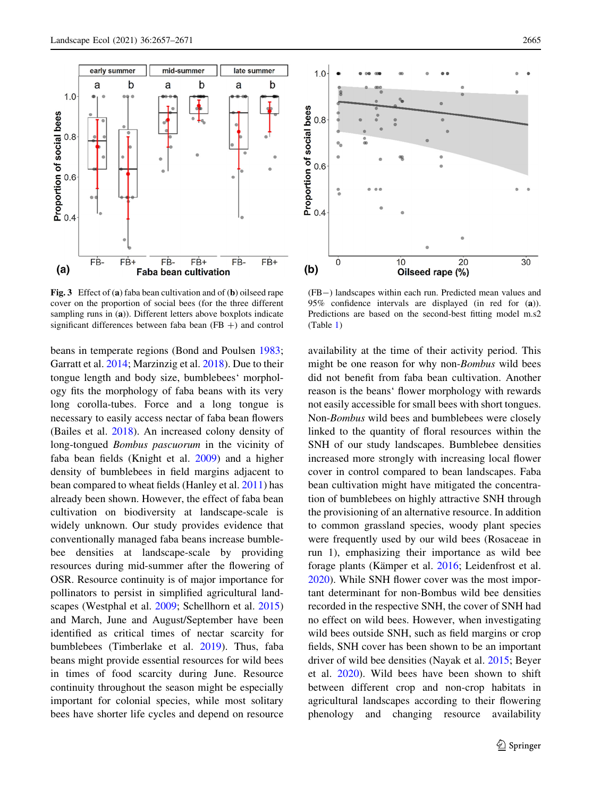b

early summer

a

FB-

 $F\dot{B}$ 

<span id="page-8-0"></span> $1.0$ 

 $0.8$ 

Proportion of social bees<br>e<br>a<br>a

 $(a)$ 



FB-

 $F\dot{B}$ +

Faba bean cultivation

mid-summer

 $\overline{a}$ 

b

late summer

a

FB-

 $FB+$ 

 $\mathbf b$ 

beans in temperate regions (Bond and Poulsen [1983](#page-12-0); Garratt et al. [2014](#page-13-0); Marzinzig et al. [2018](#page-13-0)). Due to their tongue length and body size, bumblebees' morphology fits the morphology of faba beans with its very long corolla-tubes. Force and a long tongue is necessary to easily access nectar of faba bean flowers (Bailes et al. [2018](#page-12-0)). An increased colony density of long-tongued Bombus pascuorum in the vicinity of faba bean fields (Knight et al. [2009](#page-13-0)) and a higher density of bumblebees in field margins adjacent to bean compared to wheat fields (Hanley et al. [2011\)](#page-13-0) has already been shown. However, the effect of faba bean cultivation on biodiversity at landscape-scale is widely unknown. Our study provides evidence that conventionally managed faba beans increase bumblebee densities at landscape-scale by providing resources during mid-summer after the flowering of OSR. Resource continuity is of major importance for pollinators to persist in simplified agricultural landscapes (Westphal et al. [2009](#page-14-0); Schellhorn et al. [2015\)](#page-14-0) and March, June and August/September have been identified as critical times of nectar scarcity for bumblebees (Timberlake et al. [2019\)](#page-14-0). Thus, faba beans might provide essential resources for wild bees in times of food scarcity during June. Resource continuity throughout the season might be especially important for colonial species, while most solitary bees have shorter life cycles and depend on resource



(FB-) landscapes within each run. Predicted mean values and 95% confidence intervals are displayed (in red for (a)). Predictions are based on the second-best fitting model m.s2 (Table [1\)](#page-6-0)

availability at the time of their activity period. This might be one reason for why non-Bombus wild bees did not benefit from faba bean cultivation. Another reason is the beans' flower morphology with rewards not easily accessible for small bees with short tongues. Non-Bombus wild bees and bumblebees were closely linked to the quantity of floral resources within the SNH of our study landscapes. Bumblebee densities increased more strongly with increasing local flower cover in control compared to bean landscapes. Faba bean cultivation might have mitigated the concentration of bumblebees on highly attractive SNH through the provisioning of an alternative resource. In addition to common grassland species, woody plant species were frequently used by our wild bees (Rosaceae in run 1), emphasizing their importance as wild bee forage plants (Kämper et al. [2016](#page-13-0); Leidenfrost et al. [2020\)](#page-13-0). While SNH flower cover was the most important determinant for non-Bombus wild bee densities recorded in the respective SNH, the cover of SNH had no effect on wild bees. However, when investigating wild bees outside SNH, such as field margins or crop fields, SNH cover has been shown to be an important driver of wild bee densities (Nayak et al. [2015](#page-13-0); Beyer et al. [2020\)](#page-12-0). Wild bees have been shown to shift between different crop and non-crop habitats in agricultural landscapes according to their flowering phenology and changing resource availability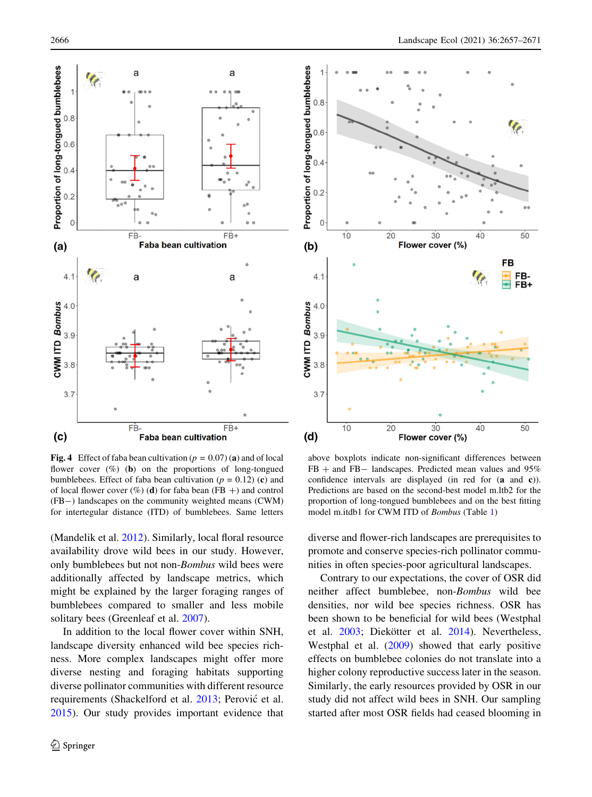<span id="page-9-0"></span>

**Fig. 4** Effect of faba bean cultivation ( $p = 0.07$ ) (a) and of local flower cover  $(\%)$  (b) on the proportions of long-tongued bumblebees. Effect of faba bean cultivation ( $p = 0.12$ ) (c) and of local flower cover  $(\%)$  (d) for faba bean (FB +) and control (FB-) landscapes on the community weighted means (CWM) for intertegular distance (ITD) of bumblebees. Same letters

(Mandelik et al. [2012\)](#page-13-0). Similarly, local floral resource availability drove wild bees in our study. However, only bumblebees but not non-*Bombus* wild bees were additionally affected by landscape metrics, which might be explained by the larger foraging ranges of bumblebees compared to smaller and less mobile solitary bees (Greenleaf et al. [2007](#page-13-0)).

In addition to the local flower cover within SNH, landscape diversity enhanced wild bee species richness. More complex landscapes might offer more diverse nesting and foraging habitats supporting diverse pollinator communities with different resource requirements (Shackelford et al. [2013](#page-14-0); Perović et al. [2015\)](#page-13-0). Our study provides important evidence that



above boxplots indicate non-significant differences between  $FB +$  and  $FB -$  landscapes. Predicted mean values and 95% confidence intervals are displayed (in red for (a and c)). Predictions are based on the second-best model m.ltb2 for the proportion of long-tongued bumblebees and on the best fitting model m.itdb1 for CWM ITD of Bombus (Table [1](#page-6-0))

diverse and flower-rich landscapes are prerequisites to promote and conserve species-rich pollinator communities in often species-poor agricultural landscapes.

Contrary to our expectations, the cover of OSR did neither affect bumblebee, non-Bombus wild bee densities, nor wild bee species richness. OSR has been shown to be beneficial for wild bees (Westphal et al. [2003;](#page-14-0) Diekötter et al. [2014](#page-12-0)). Nevertheless, Westphal et al. ([2009\)](#page-14-0) showed that early positive effects on bumblebee colonies do not translate into a higher colony reproductive success later in the season. Similarly, the early resources provided by OSR in our study did not affect wild bees in SNH. Our sampling started after most OSR fields had ceased blooming in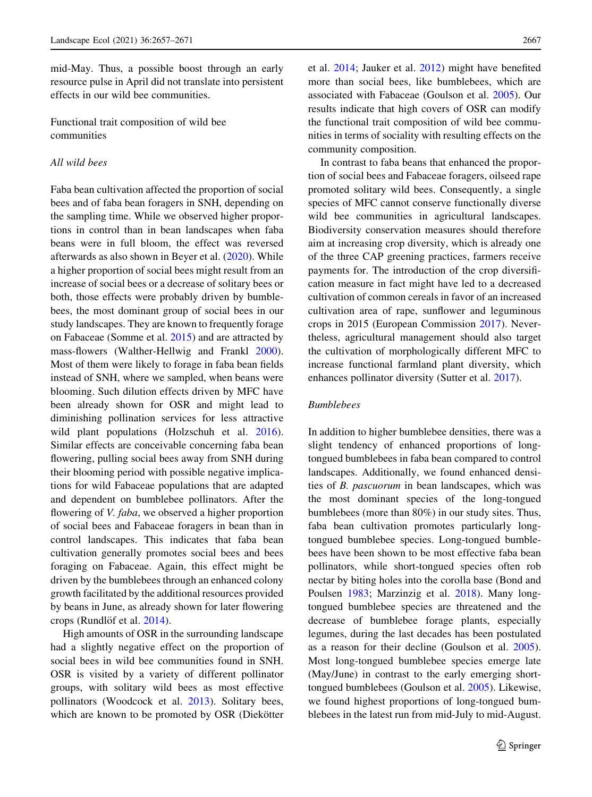mid-May. Thus, a possible boost through an early resource pulse in April did not translate into persistent effects in our wild bee communities.

Functional trait composition of wild bee communities

# All wild bees

Faba bean cultivation affected the proportion of social bees and of faba bean foragers in SNH, depending on the sampling time. While we observed higher proportions in control than in bean landscapes when faba beans were in full bloom, the effect was reversed afterwards as also shown in Beyer et al. ([2020\)](#page-12-0). While a higher proportion of social bees might result from an increase of social bees or a decrease of solitary bees or both, those effects were probably driven by bumblebees, the most dominant group of social bees in our study landscapes. They are known to frequently forage on Fabaceae (Somme et al. [2015\)](#page-14-0) and are attracted by mass-flowers (Walther-Hellwig and Frankl [2000](#page-14-0)). Most of them were likely to forage in faba bean fields instead of SNH, where we sampled, when beans were blooming. Such dilution effects driven by MFC have been already shown for OSR and might lead to diminishing pollination services for less attractive wild plant populations (Holzschuh et al. [2016](#page-13-0)). Similar effects are conceivable concerning faba bean flowering, pulling social bees away from SNH during their blooming period with possible negative implications for wild Fabaceae populations that are adapted and dependent on bumblebee pollinators. After the flowering of *V. faba*, we observed a higher proportion of social bees and Fabaceae foragers in bean than in control landscapes. This indicates that faba bean cultivation generally promotes social bees and bees foraging on Fabaceae. Again, this effect might be driven by the bumblebees through an enhanced colony growth facilitated by the additional resources provided by beans in June, as already shown for later flowering crops (Rundlöf et al. [2014\)](#page-14-0).

High amounts of OSR in the surrounding landscape had a slightly negative effect on the proportion of social bees in wild bee communities found in SNH. OSR is visited by a variety of different pollinator groups, with solitary wild bees as most effective pollinators (Woodcock et al. [2013](#page-14-0)). Solitary bees, which are known to be promoted by OSR (Diekötter et al. [2014;](#page-12-0) Jauker et al. [2012\)](#page-13-0) might have benefited more than social bees, like bumblebees, which are associated with Fabaceae (Goulson et al. [2005\)](#page-13-0). Our results indicate that high covers of OSR can modify the functional trait composition of wild bee communities in terms of sociality with resulting effects on the community composition.

In contrast to faba beans that enhanced the proportion of social bees and Fabaceae foragers, oilseed rape promoted solitary wild bees. Consequently, a single species of MFC cannot conserve functionally diverse wild bee communities in agricultural landscapes. Biodiversity conservation measures should therefore aim at increasing crop diversity, which is already one of the three CAP greening practices, farmers receive payments for. The introduction of the crop diversification measure in fact might have led to a decreased cultivation of common cereals in favor of an increased cultivation area of rape, sunflower and leguminous crops in 2015 (European Commission [2017](#page-12-0)). Nevertheless, agricultural management should also target the cultivation of morphologically different MFC to increase functional farmland plant diversity, which enhances pollinator diversity (Sutter et al. [2017\)](#page-14-0).

# Bumblebees

In addition to higher bumblebee densities, there was a slight tendency of enhanced proportions of longtongued bumblebees in faba bean compared to control landscapes. Additionally, we found enhanced densities of B. pascuorum in bean landscapes, which was the most dominant species of the long-tongued bumblebees (more than 80%) in our study sites. Thus, faba bean cultivation promotes particularly longtongued bumblebee species. Long-tongued bumblebees have been shown to be most effective faba bean pollinators, while short-tongued species often rob nectar by biting holes into the corolla base (Bond and Poulsen [1983](#page-12-0); Marzinzig et al. [2018\)](#page-13-0). Many longtongued bumblebee species are threatened and the decrease of bumblebee forage plants, especially legumes, during the last decades has been postulated as a reason for their decline (Goulson et al. [2005](#page-13-0)). Most long-tongued bumblebee species emerge late (May/June) in contrast to the early emerging shorttongued bumblebees (Goulson et al. [2005\)](#page-13-0). Likewise, we found highest proportions of long-tongued bumblebees in the latest run from mid-July to mid-August.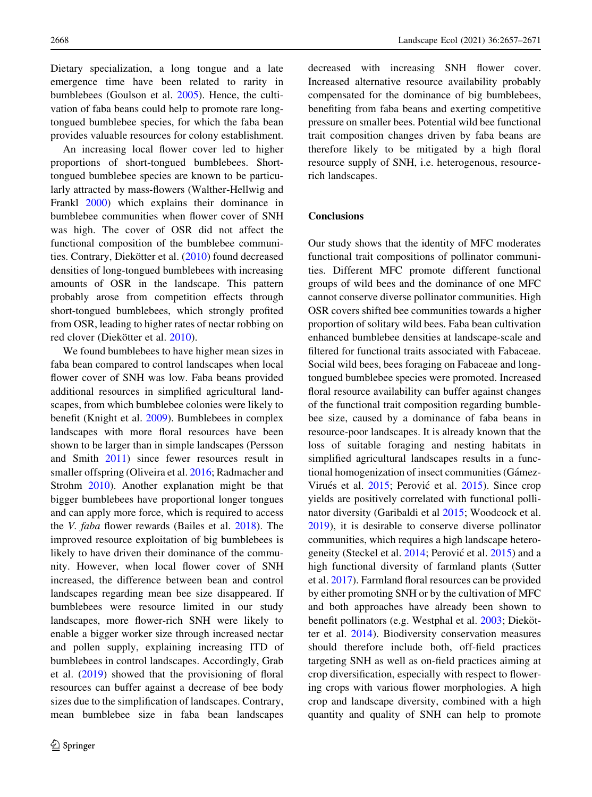Dietary specialization, a long tongue and a late emergence time have been related to rarity in bumblebees (Goulson et al. [2005\)](#page-13-0). Hence, the cultivation of faba beans could help to promote rare longtongued bumblebee species, for which the faba bean provides valuable resources for colony establishment.

An increasing local flower cover led to higher proportions of short-tongued bumblebees. Shorttongued bumblebee species are known to be particularly attracted by mass-flowers (Walther-Hellwig and Frankl [2000](#page-14-0)) which explains their dominance in bumblebee communities when flower cover of SNH was high. The cover of OSR did not affect the functional composition of the bumblebee communi-ties. Contrary, Diekötter et al. [\(2010](#page-12-0)) found decreased densities of long-tongued bumblebees with increasing amounts of OSR in the landscape. This pattern probably arose from competition effects through short-tongued bumblebees, which strongly profited from OSR, leading to higher rates of nectar robbing on red clover (Diekötter et al. [2010\)](#page-12-0).

We found bumblebees to have higher mean sizes in faba bean compared to control landscapes when local flower cover of SNH was low. Faba beans provided additional resources in simplified agricultural landscapes, from which bumblebee colonies were likely to benefit (Knight et al. [2009\)](#page-13-0). Bumblebees in complex landscapes with more floral resources have been shown to be larger than in simple landscapes (Persson and Smith [2011](#page-13-0)) since fewer resources result in smaller offspring (Oliveira et al. [2016;](#page-13-0) Radmacher and Strohm [2010\)](#page-14-0). Another explanation might be that bigger bumblebees have proportional longer tongues and can apply more force, which is required to access the V. faba flower rewards (Bailes et al. [2018](#page-12-0)). The improved resource exploitation of big bumblebees is likely to have driven their dominance of the community. However, when local flower cover of SNH increased, the difference between bean and control landscapes regarding mean bee size disappeared. If bumblebees were resource limited in our study landscapes, more flower-rich SNH were likely to enable a bigger worker size through increased nectar and pollen supply, explaining increasing ITD of bumblebees in control landscapes. Accordingly, Grab et al. ([2019\)](#page-13-0) showed that the provisioning of floral resources can buffer against a decrease of bee body sizes due to the simplification of landscapes. Contrary, mean bumblebee size in faba bean landscapes

decreased with increasing SNH flower cover. Increased alternative resource availability probably compensated for the dominance of big bumblebees, benefiting from faba beans and exerting competitive pressure on smaller bees. Potential wild bee functional trait composition changes driven by faba beans are therefore likely to be mitigated by a high floral resource supply of SNH, i.e. heterogenous, resourcerich landscapes.

# **Conclusions**

Our study shows that the identity of MFC moderates functional trait compositions of pollinator communities. Different MFC promote different functional groups of wild bees and the dominance of one MFC cannot conserve diverse pollinator communities. High OSR covers shifted bee communities towards a higher proportion of solitary wild bees. Faba bean cultivation enhanced bumblebee densities at landscape-scale and filtered for functional traits associated with Fabaceae. Social wild bees, bees foraging on Fabaceae and longtongued bumblebee species were promoted. Increased floral resource availability can buffer against changes of the functional trait composition regarding bumblebee size, caused by a dominance of faba beans in resource-poor landscapes. It is already known that the loss of suitable foraging and nesting habitats in simplified agricultural landscapes results in a functional homogenization of insect communities (Gámez-Virués et al. [2015](#page-12-0); Perović et al. [2015\)](#page-13-0). Since crop yields are positively correlated with functional pollinator diversity (Garibaldi et al [2015](#page-13-0); Woodcock et al. [2019\)](#page-14-0), it is desirable to conserve diverse pollinator communities, which requires a high landscape hetero-geneity (Steckel et al. [2014;](#page-14-0) Perović et al. [2015](#page-13-0)) and a high functional diversity of farmland plants (Sutter et al. [2017\)](#page-14-0). Farmland floral resources can be provided by either promoting SNH or by the cultivation of MFC and both approaches have already been shown to benefit pollinators (e.g. Westphal et al. [2003](#page-14-0); Diekötter et al. [2014\)](#page-12-0). Biodiversity conservation measures should therefore include both, off-field practices targeting SNH as well as on-field practices aiming at crop diversification, especially with respect to flowering crops with various flower morphologies. A high crop and landscape diversity, combined with a high quantity and quality of SNH can help to promote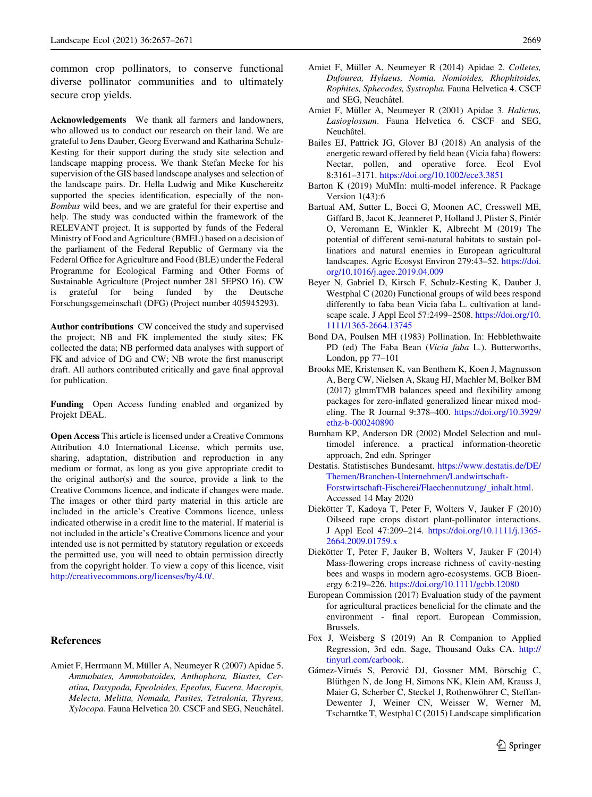<span id="page-12-0"></span>common crop pollinators, to conserve functional diverse pollinator communities and to ultimately secure crop yields.

Acknowledgements We thank all farmers and landowners, who allowed us to conduct our research on their land. We are grateful to Jens Dauber, Georg Everwand and Katharina Schulz-Kesting for their support during the study site selection and landscape mapping process. We thank Stefan Mecke for his supervision of the GIS based landscape analyses and selection of the landscape pairs. Dr. Hella Ludwig and Mike Kuschereitz supported the species identification, especially of the non-Bombus wild bees, and we are grateful for their expertise and help. The study was conducted within the framework of the RELEVANT project. It is supported by funds of the Federal Ministry of Food and Agriculture (BMEL) based on a decision of the parliament of the Federal Republic of Germany via the Federal Office for Agriculture and Food (BLE) under the Federal Programme for Ecological Farming and Other Forms of Sustainable Agriculture (Project number 281 5EPSO 16). CW is grateful for being funded by the Deutsche Forschungsgemeinschaft (DFG) (Project number 405945293).

Author contributions CW conceived the study and supervised the project; NB and FK implemented the study sites; FK collected the data; NB performed data analyses with support of FK and advice of DG and CW; NB wrote the first manuscript draft. All authors contributed critically and gave final approval for publication.

Funding Open Access funding enabled and organized by Projekt DEAL.

Open Access This article is licensed under a Creative Commons Attribution 4.0 International License, which permits use, sharing, adaptation, distribution and reproduction in any medium or format, as long as you give appropriate credit to the original author(s) and the source, provide a link to the Creative Commons licence, and indicate if changes were made. The images or other third party material in this article are included in the article's Creative Commons licence, unless indicated otherwise in a credit line to the material. If material is not included in the article's Creative Commons licence and your intended use is not permitted by statutory regulation or exceeds the permitted use, you will need to obtain permission directly from the copyright holder. To view a copy of this licence, visit <http://creativecommons.org/licenses/by/4.0/>.

#### References

Amiet F, Herrmann M, Müller A, Neumeyer R (2007) Apidae 5. Ammobates, Ammobatoides, Anthophora, Biastes, Ceratina, Dasypoda, Epeoloides, Epeolus, Eucera, Macropis, Melecta, Melitta, Nomada, Pasites, Tetralonia, Thyreus, Xylocopa. Fauna Helvetica 20. CSCF and SEG, Neuchâtel.

- Amiet F, Müller A, Neumeyer R (2014) Apidae 2. Colletes, Dufourea, Hylaeus, Nomia, Nomioides, Rhophitoides, Rophites, Sphecodes, Systropha. Fauna Helvetica 4. CSCF and SEG, Neuchâtel.
- Amiet F, Müller A, Neumeyer R (2001) Apidae 3. Halictus, Lasioglossum. Fauna Helvetica 6. CSCF and SEG, Neuchâtel.
- Bailes EJ, Pattrick JG, Glover BJ (2018) An analysis of the energetic reward offered by field bean (Vicia faba) flowers: Nectar, pollen, and operative force. Ecol Evol 8:3161–3171. <https://doi.org/10.1002/ece3.3851>
- Barton K (2019) MuMIn: multi-model inference. R Package Version 1(43):6
- Bartual AM, Sutter L, Bocci G, Moonen AC, Cresswell ME, Giffard B, Jacot K, Jeanneret P, Holland J, Pfister S, Pintér O, Veromann E, Winkler K, Albrecht M (2019) The potential of different semi-natural habitats to sustain pollinatiors and natural enemies in European agricultural landscapes. Agric Ecosyst Environ 279:43–52. [https://doi.](https://doi.org/10.1016/j.agee.2019.04.009) [org/10.1016/j.agee.2019.04.009](https://doi.org/10.1016/j.agee.2019.04.009)
- Beyer N, Gabriel D, Kirsch F, Schulz-Kesting K, Dauber J, Westphal C (2020) Functional groups of wild bees respond differently to faba bean Vicia faba L. cultivation at landscape scale. J Appl Ecol 57:2499–2508. [https://doi.org/10.](https://doi.org/10.1111/1365-2664.13745) [1111/1365-2664.13745](https://doi.org/10.1111/1365-2664.13745)
- Bond DA, Poulsen MH (1983) Pollination. In: Hebblethwaite PD (ed) The Faba Bean (Vicia faba L.). Butterworths, London, pp 77–101
- Brooks ME, Kristensen K, van Benthem K, Koen J, Magnusson A, Berg CW, Nielsen A, Skaug HJ, Machler M, Bolker BM (2017) glmmTMB balances speed and flexibility among packages for zero-inflated generalized linear mixed modeling. The R Journal 9:378–400. [https://doi.org/10.3929/](https://doi.org/10.3929/ethz-b-000240890) [ethz-b-000240890](https://doi.org/10.3929/ethz-b-000240890)
- Burnham KP, Anderson DR (2002) Model Selection and multimodel inference. a practical information-theoretic approach, 2nd edn. Springer

Destatis. Statistisches Bundesamt. [https://www.destatis.de/DE/](https://www.destatis.de/DE/Themen/Branchen-Unternehmen/Landwirtschaft-Forstwirtschaft-Fischerei/Flaechennutzung/_inhalt.html) [Themen/Branchen-Unternehmen/Landwirtschaft-](https://www.destatis.de/DE/Themen/Branchen-Unternehmen/Landwirtschaft-Forstwirtschaft-Fischerei/Flaechennutzung/_inhalt.html)[Forstwirtschaft-Fischerei/Flaechennutzung/\\_inhalt.html](https://www.destatis.de/DE/Themen/Branchen-Unternehmen/Landwirtschaft-Forstwirtschaft-Fischerei/Flaechennutzung/_inhalt.html). Accessed 14 May 2020

- Diekötter T, Kadoya T, Peter F, Wolters V, Jauker F (2010) Oilseed rape crops distort plant-pollinator interactions. J Appl Ecol 47:209–214. [https://doi.org/10.1111/j.1365-](https://doi.org/10.1111/j.1365-2664.2009.01759.x) [2664.2009.01759.x](https://doi.org/10.1111/j.1365-2664.2009.01759.x)
- Diekötter T, Peter F, Jauker B, Wolters V, Jauker F (2014) Mass-flowering crops increase richness of cavity-nesting bees and wasps in modern agro-ecosystems. GCB Bioenergy 6:219–226. <https://doi.org/10.1111/gcbb.12080>
- European Commission (2017) Evaluation study of the payment for agricultural practices beneficial for the climate and the environment - final report. European Commission, Brussels.
- Fox J, Weisberg S (2019) An R Companion to Applied Regression, 3rd edn. Sage, Thousand Oaks CA. [http://](http://tinyurl.com/carbook) [tinyurl.com/carbook](http://tinyurl.com/carbook).
- Gámez-Virués S, Perović DJ, Gossner MM, Börschig C, Blüthgen N, de Jong H, Simons NK, Klein AM, Krauss J, Maier G, Scherber C, Steckel J, Rothenwöhrer C, Steffan-Dewenter J, Weiner CN, Weisser W, Werner M, Tscharntke T, Westphal C (2015) Landscape simplification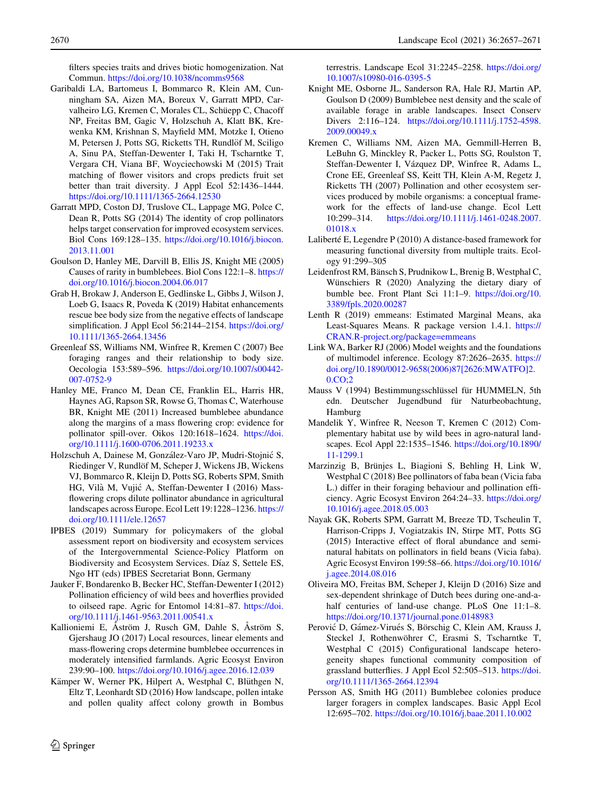<span id="page-13-0"></span>filters species traits and drives biotic homogenization. Nat Commun. <https://doi.org/10.1038/ncomms9568>

- Garibaldi LA, Bartomeus I, Bommarco R, Klein AM, Cunningham SA, Aizen MA, Boreux V, Garratt MPD, Carvalheiro LG, Kremen C, Morales CL, Schüepp C, Chacoff NP, Freitas BM, Gagic V, Holzschuh A, Klatt BK, Krewenka KM, Krishnan S, Mayfield MM, Motzke I, Otieno M, Petersen J, Potts SG, Ricketts TH, Rundlöf M, Sciligo A, Sinu PA, Steffan-Dewenter I, Taki H, Tscharntke T, Vergara CH, Viana BF, Woyciechowski M (2015) Trait matching of flower visitors and crops predicts fruit set better than trait diversity. J Appl Ecol 52:1436–1444. <https://doi.org/10.1111/1365-2664.12530>
- Garratt MPD, Coston DJ, Truslove CL, Lappage MG, Polce C, Dean R, Potts SG (2014) The identity of crop pollinators helps target conservation for improved ecosystem services. Biol Cons 169:128–135. [https://doi.org/10.1016/j.biocon.](https://doi.org/10.1016/j.biocon.2013.11.001) [2013.11.001](https://doi.org/10.1016/j.biocon.2013.11.001)
- Goulson D, Hanley ME, Darvill B, Ellis JS, Knight ME (2005) Causes of rarity in bumblebees. Biol Cons 122:1–8. [https://](https://doi.org/10.1016/j.biocon.2004.06.017) [doi.org/10.1016/j.biocon.2004.06.017](https://doi.org/10.1016/j.biocon.2004.06.017)
- Grab H, Brokaw J, Anderson E, Gedlinske L, Gibbs J, Wilson J, Loeb G, Isaacs R, Poveda K (2019) Habitat enhancements rescue bee body size from the negative effects of landscape simplification. J Appl Ecol 56:2144–2154. [https://doi.org/](https://doi.org/10.1111/1365-2664.13456) [10.1111/1365-2664.13456](https://doi.org/10.1111/1365-2664.13456)
- Greenleaf SS, Williams NM, Winfree R, Kremen C (2007) Bee foraging ranges and their relationship to body size. Oecologia 153:589–596. [https://doi.org/10.1007/s00442-](https://doi.org/10.1007/s00442-007-0752-9) [007-0752-9](https://doi.org/10.1007/s00442-007-0752-9)
- Hanley ME, Franco M, Dean CE, Franklin EL, Harris HR, Haynes AG, Rapson SR, Rowse G, Thomas C, Waterhouse BR, Knight ME (2011) Increased bumblebee abundance along the margins of a mass flowering crop: evidence for pollinator spill-over. Oikos 120:1618–1624. [https://doi.](https://doi.org/10.1111/j.1600-0706.2011.19233.x) [org/10.1111/j.1600-0706.2011.19233.x](https://doi.org/10.1111/j.1600-0706.2011.19233.x)
- Holzschuh A, Dainese M, González-Varo JP, Mudri-Stojnić S, Riedinger V, Rundlöf M, Scheper J, Wickens JB, Wickens VJ, Bommarco R, Kleijn D, Potts SG, Roberts SPM, Smith HG, Vilà M, Vujić A, Steffan-Dewenter I (2016) Massflowering crops dilute pollinator abundance in agricultural landscapes across Europe. Ecol Lett 19:1228–1236. [https://](https://doi.org/10.1111/ele.12657) [doi.org/10.1111/ele.12657](https://doi.org/10.1111/ele.12657)
- IPBES (2019) Summary for policymakers of the global assessment report on biodiversity and ecosystem services of the Intergovernmental Science-Policy Platform on Biodiversity and Ecosystem Services. Díaz S, Settele ES, Ngo HT (eds) IPBES Secretariat Bonn, Germany
- Jauker F, Bondarenko B, Becker HC, Steffan-Dewenter I (2012) Pollination efficiency of wild bees and hoverflies provided to oilseed rape. Agric for Entomol 14:81–87. [https://doi.](https://doi.org/10.1111/j.1461-9563.2011.00541.x) [org/10.1111/j.1461-9563.2011.00541.x](https://doi.org/10.1111/j.1461-9563.2011.00541.x)
- Kallioniemi E, Aström J, Rusch GM, Dahle S, Aström S, Gjershaug JO (2017) Local resources, linear elements and mass-flowering crops determine bumblebee occurrences in moderately intensified farmlands. Agric Ecosyst Environ 239:90–100. <https://doi.org/10.1016/j.agee.2016.12.039>
- Kämper W, Werner PK, Hilpert A, Westphal C, Blüthgen N, Eltz T, Leonhardt SD (2016) How landscape, pollen intake and pollen quality affect colony growth in Bombus

terrestris. Landscape Ecol 31:2245–2258. [https://doi.org/](https://doi.org/10.1007/s10980-016-0395-5) [10.1007/s10980-016-0395-5](https://doi.org/10.1007/s10980-016-0395-5)

- Knight ME, Osborne JL, Sanderson RA, Hale RJ, Martin AP, Goulson D (2009) Bumblebee nest density and the scale of available forage in arable landscapes. Insect Conserv Divers 2:116–124. [https://doi.org/10.1111/j.1752-4598.](https://doi.org/10.1111/j.1752-4598.2009.00049.x) [2009.00049.x](https://doi.org/10.1111/j.1752-4598.2009.00049.x)
- Kremen C, Williams NM, Aizen MA, Gemmill-Herren B, LeBuhn G, Minckley R, Packer L, Potts SG, Roulston T, Steffan-Dewenter I, Vázquez DP, Winfree R, Adams L, Crone EE, Greenleaf SS, Keitt TH, Klein A-M, Regetz J, Ricketts TH (2007) Pollination and other ecosystem services produced by mobile organisms: a conceptual framework for the effects of land-use change. Ecol Lett  $10:299-314$ . https://doi.org/10.1111/j.1461-0248.2007. [https://doi.org/10.1111/j.1461-0248.2007.](https://doi.org/10.1111/j.1461-0248.2007.01018.x) [01018.x](https://doi.org/10.1111/j.1461-0248.2007.01018.x)
- Laliberté E, Legendre P (2010) A distance-based framework for measuring functional diversity from multiple traits. Ecology 91:299–305
- Leidenfrost RM, Bänsch S, Prudnikow L, Brenig B, Westphal C, Wünschiers R (2020) Analyzing the dietary diary of bumble bee. Front Plant Sci 11:1–9. [https://doi.org/10.](https://doi.org/10.3389/fpls.2020.00287) [3389/fpls.2020.00287](https://doi.org/10.3389/fpls.2020.00287)
- Lenth R (2019) emmeans: Estimated Marginal Means, aka Least-Squares Means. R package version 1.4.1. [https://](https://CRAN.R-project.org/package=emmeans) [CRAN.R-project.org/package=emmeans](https://CRAN.R-project.org/package=emmeans)
- Link WA, Barker RJ (2006) Model weights and the foundations of multimodel inference. Ecology 87:2626–2635. [https://](https://doi.org/10.1890/0012-9658(2006)87[2626:MWATFO]2.0.CO;2) [doi.org/10.1890/0012-9658\(2006\)87\[2626:MWATFO\]2.](https://doi.org/10.1890/0012-9658(2006)87[2626:MWATFO]2.0.CO;2)  $0.CQ:2$
- Mauss V (1994) Bestimmungsschlüssel für HUMMELN, 5th edn. Deutscher Jugendbund für Naturbeobachtung, Hamburg
- Mandelik Y, Winfree R, Neeson T, Kremen C (2012) Complementary habitat use by wild bees in agro-natural landscapes. Ecol Appl 22:1535–1546. [https://doi.org/10.1890/](https://doi.org/10.1890/11-1299.1) [11-1299.1](https://doi.org/10.1890/11-1299.1)
- Marzinzig B, Brünjes L, Biagioni S, Behling H, Link W, Westphal C (2018) Bee pollinators of faba bean (Vicia faba L.) differ in their foraging behaviour and pollination efficiency. Agric Ecosyst Environ 264:24–33. [https://doi.org/](https://doi.org/10.1016/j.agee.2018.05.003) [10.1016/j.agee.2018.05.003](https://doi.org/10.1016/j.agee.2018.05.003)
- Nayak GK, Roberts SPM, Garratt M, Breeze TD, Tscheulin T, Harrison-Cripps J, Vogiatzakis IN, Stirpe MT, Potts SG (2015) Interactive effect of floral abundance and seminatural habitats on pollinators in field beans (Vicia faba). Agric Ecosyst Environ 199:58–66. [https://doi.org/10.1016/](https://doi.org/10.1016/j.agee.2014.08.016) [j.agee.2014.08.016](https://doi.org/10.1016/j.agee.2014.08.016)
- Oliveira MO, Freitas BM, Scheper J, Kleijn D (2016) Size and sex-dependent shrinkage of Dutch bees during one-and-ahalf centuries of land-use change. PLoS One 11:1-8. <https://doi.org/10.1371/journal.pone.0148983>
- Perović D, Gámez-Virués S, Börschig C, Klein AM, Krauss J, Steckel J, Rothenwöhrer C, Erasmi S, Tscharntke T, Westphal C (2015) Configurational landscape heterogeneity shapes functional community composition of grassland butterflies. J Appl Ecol 52:505–513. [https://doi.](https://doi.org/10.1111/1365-2664.12394) [org/10.1111/1365-2664.12394](https://doi.org/10.1111/1365-2664.12394)
- Persson AS, Smith HG (2011) Bumblebee colonies produce larger foragers in complex landscapes. Basic Appl Ecol 12:695–702. <https://doi.org/10.1016/j.baae.2011.10.002>